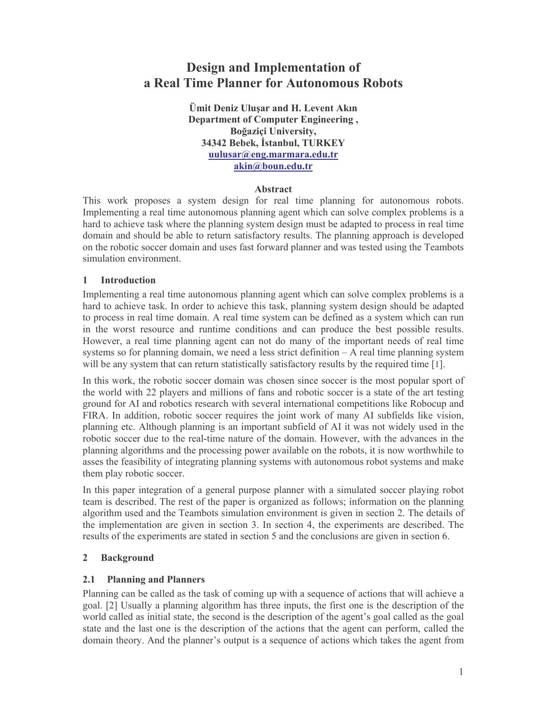# **Design and Implementation of** a Real Time Planner for Autonomous Robots

Ümit Deniz Ulusar and H. Levent Akın **Department of Computer Engineering,** Boğaziçi University, 34342 Bebek, İstanbul, TURKEY uulusar@eng.marmara.edu.tr akin@boun.edu.tr

## **Abstract**

This work proposes a system design for real time planning for autonomous robots. Implementing a real time autonomous planning agent which can solve complex problems is a hard to achieve task where the planning system design must be adapted to process in real time domain and should be able to return satisfactory results. The planning approach is developed on the robotic soccer domain and uses fast forward planner and was tested using the Teambots simulation environment.

### $\mathbf{1}$ **Introduction**

Implementing a real time autonomous planning agent which can solve complex problems is a hard to achieve task. In order to achieve this task, planning system design should be adapted to process in real time domain. A real time system can be defined as a system which can run in the worst resource and runtime conditions and can produce the best possible results. However, a real time planning agent can not do many of the important needs of real time systems so for planning domain, we need a less strict definition  $- A$  real time planning system will be any system that can return statistically satisfactory results by the required time [1].

In this work, the robotic soccer domain was chosen since soccer is the most popular sport of the world with 22 players and millions of fans and robotic soccer is a state of the art testing ground for AI and robotics research with several international competitions like Robocup and FIRA. In addition, robotic soccer requires the joint work of many AI subfields like vision, planning etc. Although planning is an important subfield of AI it was not widely used in the robotic soccer due to the real-time nature of the domain. However, with the advances in the planning algorithms and the processing power available on the robots, it is now worthwhile to asses the feasibility of integrating planning systems with autonomous robot systems and make them play robotic soccer.

In this paper integration of a general purpose planner with a simulated soccer playing robot team is described. The rest of the paper is organized as follows; information on the planning algorithm used and the Teambots simulation environment is given in section 2. The details of the implementation are given in section 3. In section 4, the experiments are described. The results of the experiments are stated in section 5 and the conclusions are given in section 6.

### $\overline{2}$ **Background**

### $2.1$ **Planning and Planners**

Planning can be called as the task of coming up with a sequence of actions that will achieve a goal. [2] Usually a planning algorithm has three inputs, the first one is the description of the world called as initial state, the second is the description of the agent's goal called as the goal state and the last one is the description of the actions that the agent can perform, called the domain theory. And the planner's output is a sequence of actions which takes the agent from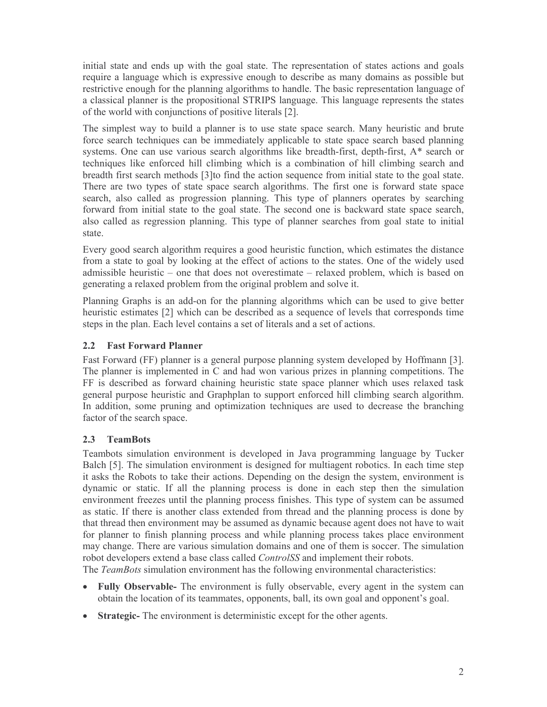initial state and ends up with the goal state. The representation of states actions and goals require a language which is expressive enough to describe as many domains as possible but restrictive enough for the planning algorithms to handle. The basic representation language of a classical planner is the propositional STRIPS language. This language represents the states of the world with conjunctions of positive literals [2].

The simplest way to build a planner is to use state space search. Many heuristic and brute force search techniques can be immediately applicable to state space search based planning systems. One can use various search algorithms like breadth-first, depth-first, A\* search or techniques like enforced hill climbing which is a combination of hill climbing search and breadth first search methods [3] to find the action sequence from initial state to the goal state. There are two types of state space search algorithms. The first one is forward state space search, also called as progression planning. This type of planners operates by searching forward from initial state to the goal state. The second one is backward state space search, also called as regression planning. This type of planner searches from goal state to initial state.

Every good search algorithm requires a good heuristic function, which estimates the distance from a state to goal by looking at the effect of actions to the states. One of the widely used admissible heuristic – one that does not overestimate – relaxed problem, which is based on generating a relaxed problem from the original problem and solve it.

Planning Graphs is an add-on for the planning algorithms which can be used to give better heuristic estimates [2] which can be described as a sequence of levels that corresponds time steps in the plan. Each level contains a set of literals and a set of actions.

### $2.2$ **Fast Forward Planner**

Fast Forward (FF) planner is a general purpose planning system developed by Hoffmann [3]. The planner is implemented in C and had won various prizes in planning competitions. The FF is described as forward chaining heuristic state space planner which uses relaxed task general purpose heuristic and Graphplan to support enforced hill climbing search algorithm. In addition, some pruning and optimization techniques are used to decrease the branching factor of the search space.

### $2.3$ **TeamBots**

Teambots simulation environment is developed in Java programming language by Tucker Balch [5]. The simulation environment is designed for multiagent robotics. In each time step it asks the Robots to take their actions. Depending on the design the system, environment is dynamic or static. If all the planning process is done in each step then the simulation environment freezes until the planning process finishes. This type of system can be assumed as static. If there is another class extended from thread and the planning process is done by that thread then environment may be assumed as dynamic because agent does not have to wait for planner to finish planning process and while planning process takes place environment may change. There are various simulation domains and one of them is soccer. The simulation robot developers extend a base class called *ControlSS* and implement their robots. The TeamBots simulation environment has the following environmental characteristics:

- Fully Observable- The environment is fully observable, every agent in the system can obtain the location of its teammates, opponents, ball, its own goal and opponent's goal.
- Strategic-The environment is deterministic except for the other agents.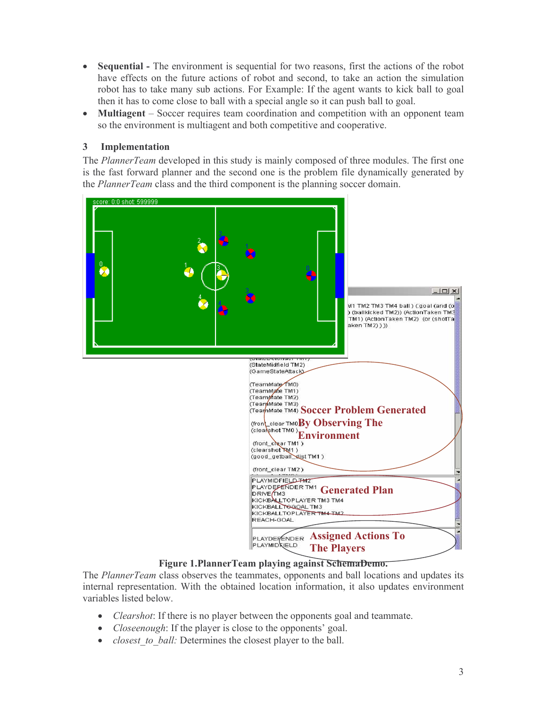- $\bullet$ **Sequential** - The environment is sequential for two reasons, first the actions of the robot have effects on the future actions of robot and second, to take an action the simulation robot has to take many sub actions. For Example: If the agent wants to kick ball to goal then it has to come close to ball with a special angle so it can push ball to goal.
- **Multiagent** Soccer requires team coordination and competition with an opponent team  $\bullet$ so the environment is multiagent and both competitive and cooperative.

### Implementation  $\mathbf{3}$

The *PlannerTeam* developed in this study is mainly composed of three modules. The first one is the fast forward planner and the second one is the problem file dynamically generated by the *PlannerTeam* class and the third component is the planning soccer domain.



Figure 1. Planner Team playing against Schema Demo.

The PlannerTeam class observes the teammates, opponents and ball locations and updates its internal representation. With the obtained location information, it also updates environment variables listed below.

- *Clearshot*: If there is no player between the opponents goal and teammate.
- *Closeenough*: If the player is close to the opponents' goal.
- *closest to ball:* Determines the closest player to the ball.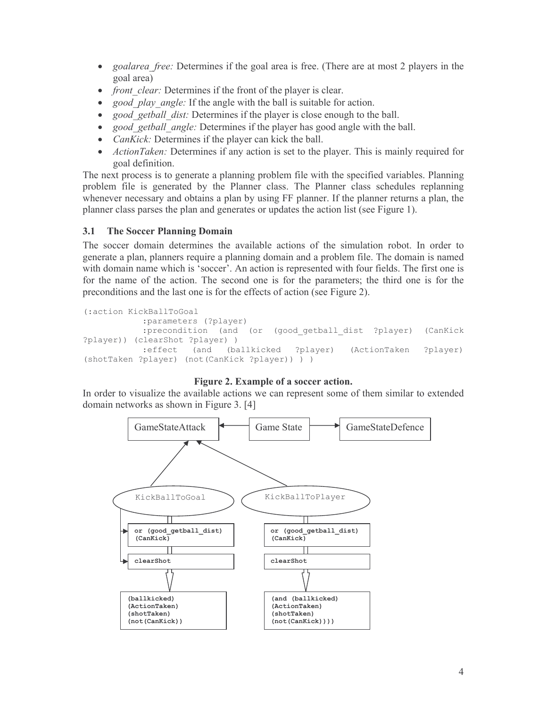- $\bullet$ *goalarea free:* Determines if the goal area is free. (There are at most 2 players in the goal area)
- *front clear:* Determines if the front of the player is clear.
- good play angle: If the angle with the ball is suitable for action.
- good getball dist: Determines if the player is close enough to the ball.
- good getball angle: Determines if the player has good angle with the ball.
- *CanKick:* Determines if the player can kick the ball.
- ActionTaken: Determines if any action is set to the player. This is mainly required for goal definition.

The next process is to generate a planning problem file with the specified variables. Planning problem file is generated by the Planner class. The Planner class schedules replanning whenever necessary and obtains a plan by using FF planner. If the planner returns a plan, the planner class parses the plan and generates or updates the action list (see Figure 1).

### $3.1$ **The Soccer Planning Domain**

The soccer domain determines the available actions of the simulation robot. In order to generate a plan, planners require a planning domain and a problem file. The domain is named with domain name which is 'soccer'. An action is represented with four fields. The first one is for the name of the action. The second one is for the parameters; the third one is for the preconditions and the last one is for the effects of action (see Figure 2).

```
(:action KickBallToGoal
           :parameters (?player)
           :precondition (and (or (good getball dist ?player)
                                                                  (CanKick
?player)) (clearShot ?player) )
           :effect (and (ballkicked ?player)
                                                   (ActionTaken
                                                                  ?player)
(shotTaken ?player) (not(CanKick ?player)) ) )
```
# Figure 2. Example of a soccer action.

In order to visualize the available actions we can represent some of them similar to extended domain networks as shown in Figure 3. [4]

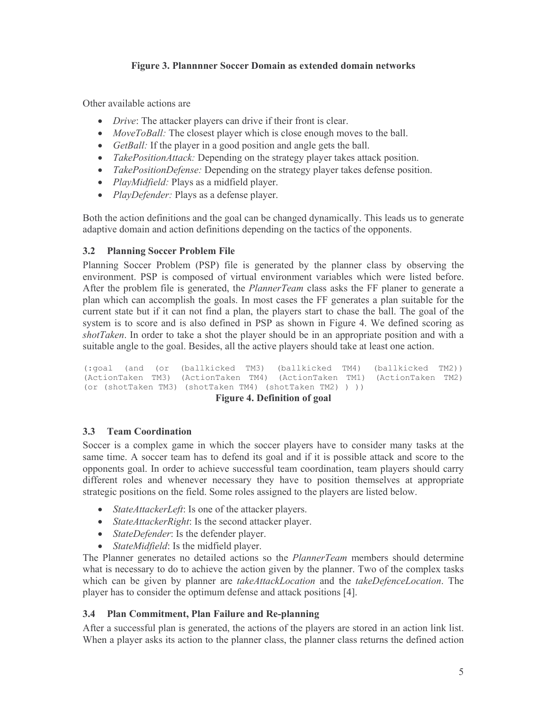# Figure 3. Plannnner Soccer Domain as extended domain networks

Other available actions are

- *Drive:* The attacker players can drive if their front is clear.
- *MoveToBall:* The closest player which is close enough moves to the ball.
- *GetBall*: If the player in a good position and angle gets the ball.
- *TakePositionAttack:* Depending on the strategy player takes attack position.
- TakePositionDefense: Depending on the strategy player takes defense position.
- PlayMidfield: Plays as a midfield player.
- *PlayDefender:* Plays as a defense player.

Both the action definitions and the goal can be changed dynamically. This leads us to generate adaptive domain and action definitions depending on the tactics of the opponents.

#### **Planning Soccer Problem File**  $3.2$

Planning Soccer Problem (PSP) file is generated by the planner class by observing the environment. PSP is composed of virtual environment variables which were listed before. After the problem file is generated, the *PlannerTeam* class asks the FF planer to generate a plan which can accomplish the goals. In most cases the FF generates a plan suitable for the current state but if it can not find a plan, the players start to chase the ball. The goal of the system is to score and is also defined in PSP as shown in Figure 4. We defined scoring as *shotTaken*. In order to take a shot the player should be in an appropriate position and with a suitable angle to the goal. Besides, all the active players should take at least one action.

(:goal (and (or (ballkicked TM3) (ballkicked TM4) (ballkicked TM2)) (ActionTaken TM3) (ActionTaken TM4) (ActionTaken TM1) (ActionTaken TM2) (or (shotTaken TM3) (shotTaken TM4) (shotTaken TM2) ) )) **Figure 4. Definition of goal** 

#### $3.3$ **Team Coordination**

Soccer is a complex game in which the soccer players have to consider many tasks at the same time. A soccer team has to defend its goal and if it is possible attack and score to the opponents goal. In order to achieve successful team coordination, team players should carry different roles and whenever necessary they have to position themselves at appropriate strategic positions on the field. Some roles assigned to the players are listed below.

- *StateAttackerLeft*: Is one of the attacker players.
- StateAttackerRight: Is the second attacker player.
- StateDefender: Is the defender player.
- *StateMidfield*: Is the midfield player.

The Planner generates no detailed actions so the *PlannerTeam* members should determine what is necessary to do to achieve the action given by the planner. Two of the complex tasks which can be given by planner are takeAttackLocation and the takeDefenceLocation. The player has to consider the optimum defense and attack positions [4].

#### **Plan Commitment, Plan Failure and Re-planning**  $3.4$

After a successful plan is generated, the actions of the players are stored in an action link list. When a player asks its action to the planner class, the planner class returns the defined action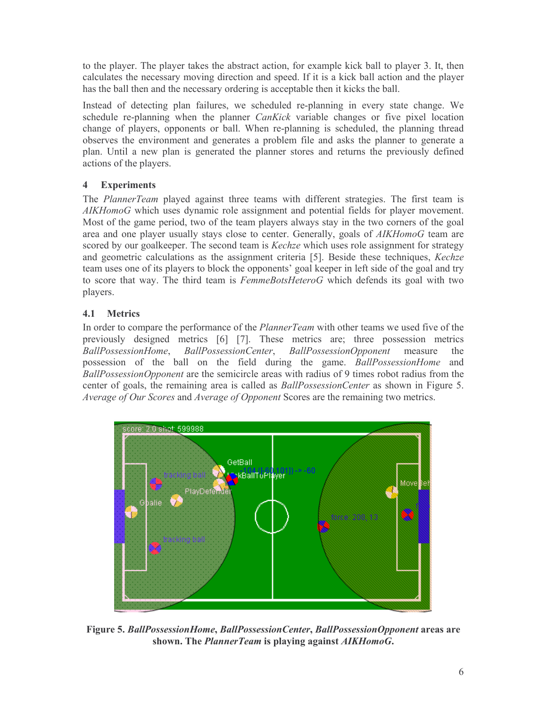to the player. The player takes the abstract action, for example kick ball to player 3. It, then calculates the necessary moving direction and speed. If it is a kick ball action and the player has the ball then and the necessary ordering is acceptable then it kicks the ball.

Instead of detecting plan failures, we scheduled re-planning in every state change. We schedule re-planning when the planner *CanKick* variable changes or five pixel location change of players, opponents or ball. When re-planning is scheduled, the planning thread observes the environment and generates a problem file and asks the planner to generate a plan. Until a new plan is generated the planner stores and returns the previously defined actions of the players.

### $\overline{\mathbf{4}}$ **Experiments**

The PlannerTeam played against three teams with different strategies. The first team is AIKHomoG which uses dynamic role assignment and potential fields for player movement. Most of the game period, two of the team players always stay in the two corners of the goal area and one player usually stays close to center. Generally, goals of AIKHomoG team are scored by our goalkeeper. The second team is *Kechze* which uses role assignment for strategy and geometric calculations as the assignment criteria [5]. Beside these techniques, Kechze team uses one of its players to block the opponents' goal keeper in left side of the goal and try to score that way. The third team is FemmeBotsHeteroG which defends its goal with two players.

### $4.1$ **Metrics**

In order to compare the performance of the *PlannerTeam* with other teams we used five of the previously designed metrics [6] [7]. These metrics are; three possession metrics BallPossessionHome, BallPossessionCenter, BallPossessionOpponent measure the possession of the ball on the field during the game. BallPossessionHome and BallPossessionOpponent are the semicircle areas with radius of 9 times robot radius from the center of goals, the remaining area is called as *BallPossessionCenter* as shown in Figure 5. Average of Our Scores and Average of Opponent Scores are the remaining two metrics.



Figure 5. BallPossessionHome, BallPossessionCenter, BallPossessionOpponent areas are shown. The *PlannerTeam* is playing against *AIKHomoG*.